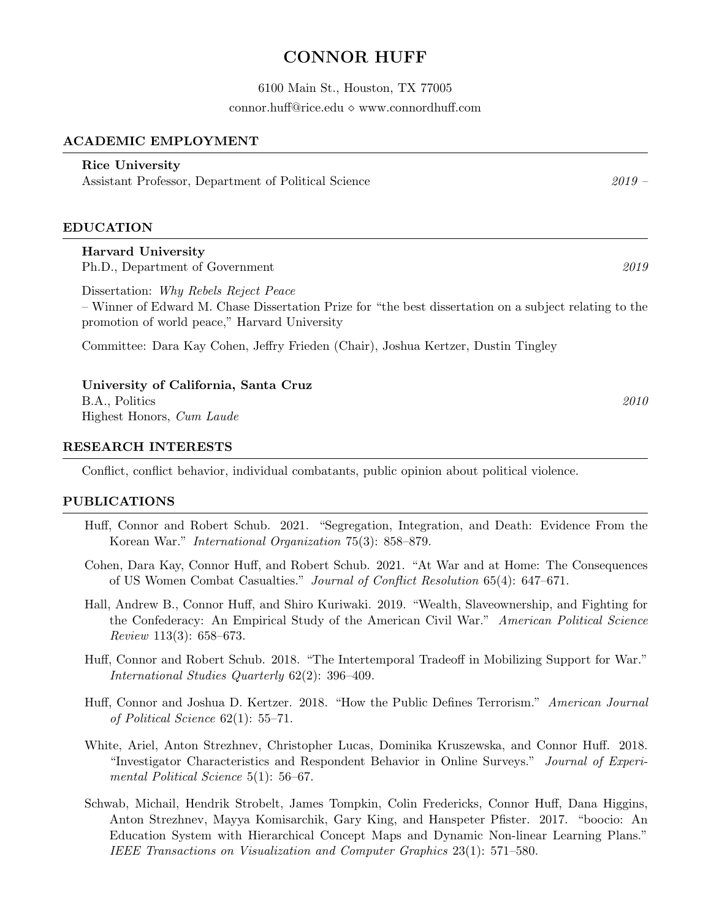# CONNOR HUFF

6100 Main St., Houston, TX 77005

[connor.huff@rice.edu](mailto:connor.huff@rice.edu)  $\diamond$  <www.connordhuff.com>

## ACADEMIC EMPLOYMENT

# Rice University

Assistant Professor, Department of Political Science 2019 – 2019 –

## EDUCATION

# Harvard University

Ph.D., Department of Government 2019

Dissertation: Why Rebels Reject Peace

– Winner of Edward M. Chase Dissertation Prize for "the best dissertation on a subject relating to the promotion of world peace," Harvard University

Committee: Dara Kay Cohen, Jeffry Frieden (Chair), Joshua Kertzer, Dustin Tingley

University of California, Santa Cruz B.A., Politics 2010 Highest Honors, Cum Laude

#### RESEARCH INTERESTS

Conflict, conflict behavior, individual combatants, public opinion about political violence.

## PUBLICATIONS

- Huff, Connor and Robert Schub. 2021. "Segregation, Integration, and Death: Evidence From the Korean War." International Organization 75(3): 858–879.
- Cohen, Dara Kay, Connor Huff, and Robert Schub. 2021. "At War and at Home: The Consequences of US Women Combat Casualties." Journal of Conflict Resolution 65(4): 647–671.
- Hall, Andrew B., Connor Huff, and Shiro Kuriwaki. 2019. "Wealth, Slaveownership, and Fighting for the Confederacy: An Empirical Study of the American Civil War." American Political Science Review 113(3): 658–673.
- Huff, Connor and Robert Schub. 2018. "The Intertemporal Tradeoff in Mobilizing Support for War." International Studies Quarterly 62(2): 396–409.
- Huff, Connor and Joshua D. Kertzer. 2018. "How the Public Defines Terrorism." American Journal of Political Science 62(1): 55–71.
- White, Ariel, Anton Strezhnev, Christopher Lucas, Dominika Kruszewska, and Connor Huff. 2018. "Investigator Characteristics and Respondent Behavior in Online Surveys." Journal of Experimental Political Science 5(1): 56–67.
- Schwab, Michail, Hendrik Strobelt, James Tompkin, Colin Fredericks, Connor Huff, Dana Higgins, Anton Strezhnev, Mayya Komisarchik, Gary King, and Hanspeter Pfister. 2017. "boocio: An Education System with Hierarchical Concept Maps and Dynamic Non-linear Learning Plans." IEEE Transactions on Visualization and Computer Graphics 23(1): 571–580.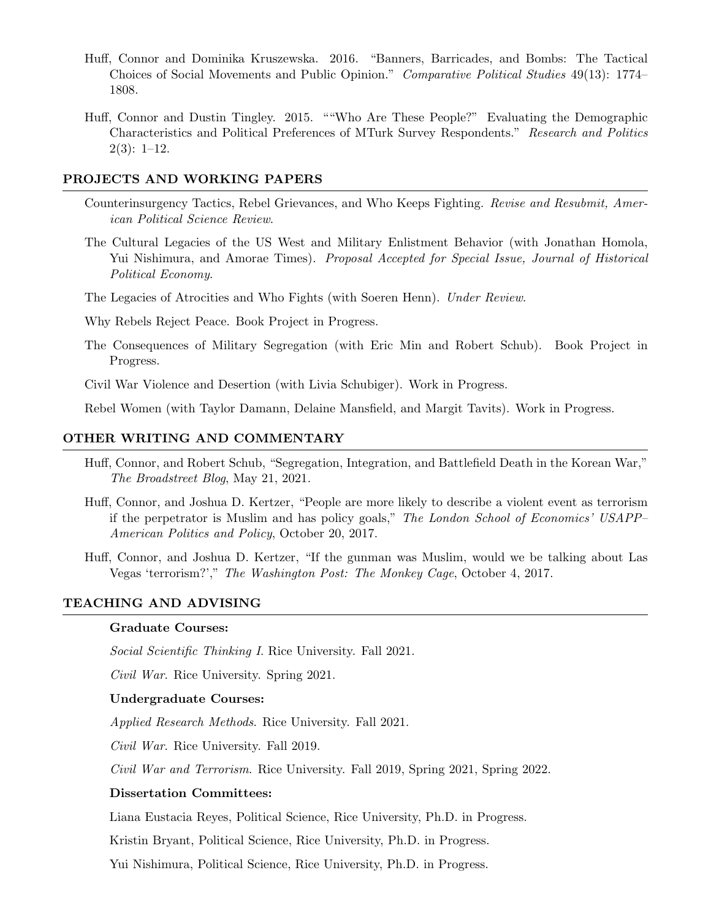- Huff, Connor and Dominika Kruszewska. 2016. "Banners, Barricades, and Bombs: The Tactical Choices of Social Movements and Public Opinion." Comparative Political Studies 49(13): 1774– 1808.
- Huff, Connor and Dustin Tingley. 2015. ""Who Are These People?" Evaluating the Demographic Characteristics and Political Preferences of MTurk Survey Respondents." Research and Politics  $2(3): 1-12.$

#### PROJECTS AND WORKING PAPERS

- Counterinsurgency Tactics, Rebel Grievances, and Who Keeps Fighting. Revise and Resubmit, American Political Science Review.
- The Cultural Legacies of the US West and Military Enlistment Behavior (with Jonathan Homola, Yui Nishimura, and Amorae Times). Proposal Accepted for Special Issue, Journal of Historical Political Economy.

The Legacies of Atrocities and Who Fights (with Soeren Henn). Under Review.

Why Rebels Reject Peace. Book Project in Progress.

The Consequences of Military Segregation (with Eric Min and Robert Schub). Book Project in Progress.

Civil War Violence and Desertion (with Livia Schubiger). Work in Progress.

Rebel Women (with Taylor Damann, Delaine Mansfield, and Margit Tavits). Work in Progress.

#### OTHER WRITING AND COMMENTARY

- Huff, Connor, and Robert Schub, "Segregation, Integration, and Battlefield Death in the Korean War," The Broadstreet Blog, May 21, 2021.
- Huff, Connor, and Joshua D. Kertzer, "People are more likely to describe a violent event as terrorism if the perpetrator is Muslim and has policy goals," The London School of Economics' USAPP– American Politics and Policy, October 20, 2017.
- Huff, Connor, and Joshua D. Kertzer, "If the gunman was Muslim, would we be talking about Las Vegas 'terrorism?'," The Washington Post: The Monkey Cage, October 4, 2017.

#### TEACHING AND ADVISING

#### Graduate Courses:

Social Scientific Thinking I. Rice University. Fall 2021.

Civil War. Rice University. Spring 2021.

#### Undergraduate Courses:

Applied Research Methods. Rice University. Fall 2021.

Civil War. Rice University. Fall 2019.

Civil War and Terrorism. Rice University. Fall 2019, Spring 2021, Spring 2022.

### Dissertation Committees:

Liana Eustacia Reyes, Political Science, Rice University, Ph.D. in Progress.

Kristin Bryant, Political Science, Rice University, Ph.D. in Progress.

Yui Nishimura, Political Science, Rice University, Ph.D. in Progress.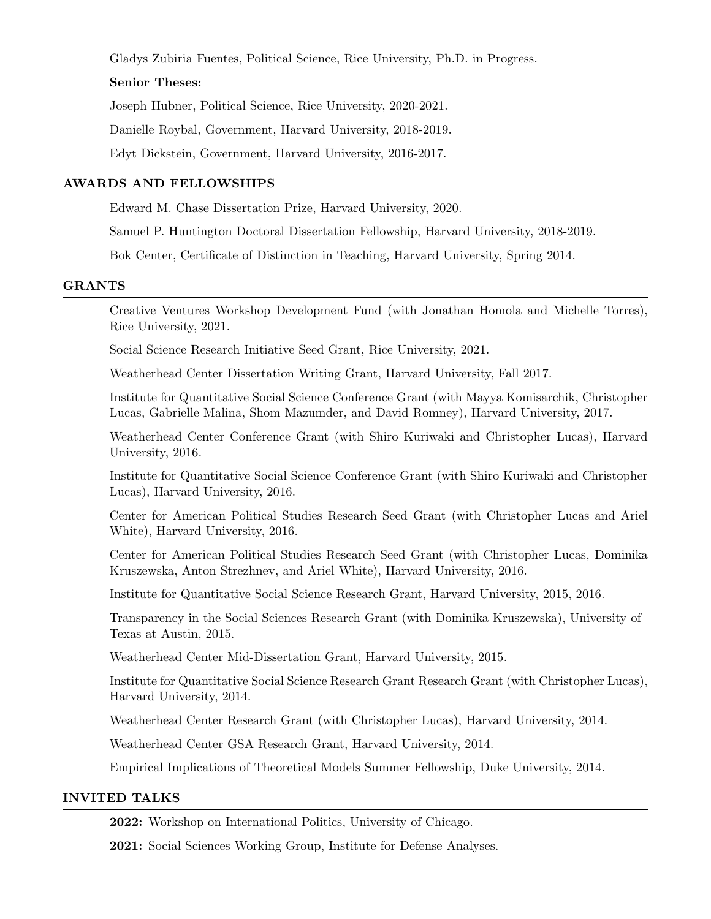Gladys Zubiria Fuentes, Political Science, Rice University, Ph.D. in Progress.

## Senior Theses:

Joseph Hubner, Political Science, Rice University, 2020-2021.

Danielle Roybal, Government, Harvard University, 2018-2019.

Edyt Dickstein, Government, Harvard University, 2016-2017.

## AWARDS AND FELLOWSHIPS

Edward M. Chase Dissertation Prize, Harvard University, 2020.

Samuel P. Huntington Doctoral Dissertation Fellowship, Harvard University, 2018-2019.

Bok Center, Certificate of Distinction in Teaching, Harvard University, Spring 2014.

## GRANTS

Creative Ventures Workshop Development Fund (with Jonathan Homola and Michelle Torres), Rice University, 2021.

Social Science Research Initiative Seed Grant, Rice University, 2021.

Weatherhead Center Dissertation Writing Grant, Harvard University, Fall 2017.

Institute for Quantitative Social Science Conference Grant (with Mayya Komisarchik, Christopher Lucas, Gabrielle Malina, Shom Mazumder, and David Romney), Harvard University, 2017.

Weatherhead Center Conference Grant (with Shiro Kuriwaki and Christopher Lucas), Harvard University, 2016.

Institute for Quantitative Social Science Conference Grant (with Shiro Kuriwaki and Christopher Lucas), Harvard University, 2016.

Center for American Political Studies Research Seed Grant (with Christopher Lucas and Ariel White), Harvard University, 2016.

Center for American Political Studies Research Seed Grant (with Christopher Lucas, Dominika Kruszewska, Anton Strezhnev, and Ariel White), Harvard University, 2016.

Institute for Quantitative Social Science Research Grant, Harvard University, 2015, 2016.

Transparency in the Social Sciences Research Grant (with Dominika Kruszewska), University of Texas at Austin, 2015.

Weatherhead Center Mid-Dissertation Grant, Harvard University, 2015.

Institute for Quantitative Social Science Research Grant Research Grant (with Christopher Lucas), Harvard University, 2014.

Weatherhead Center Research Grant (with Christopher Lucas), Harvard University, 2014.

Weatherhead Center GSA Research Grant, Harvard University, 2014.

Empirical Implications of Theoretical Models Summer Fellowship, Duke University, 2014.

## INVITED TALKS

2022: Workshop on International Politics, University of Chicago.

2021: Social Sciences Working Group, Institute for Defense Analyses.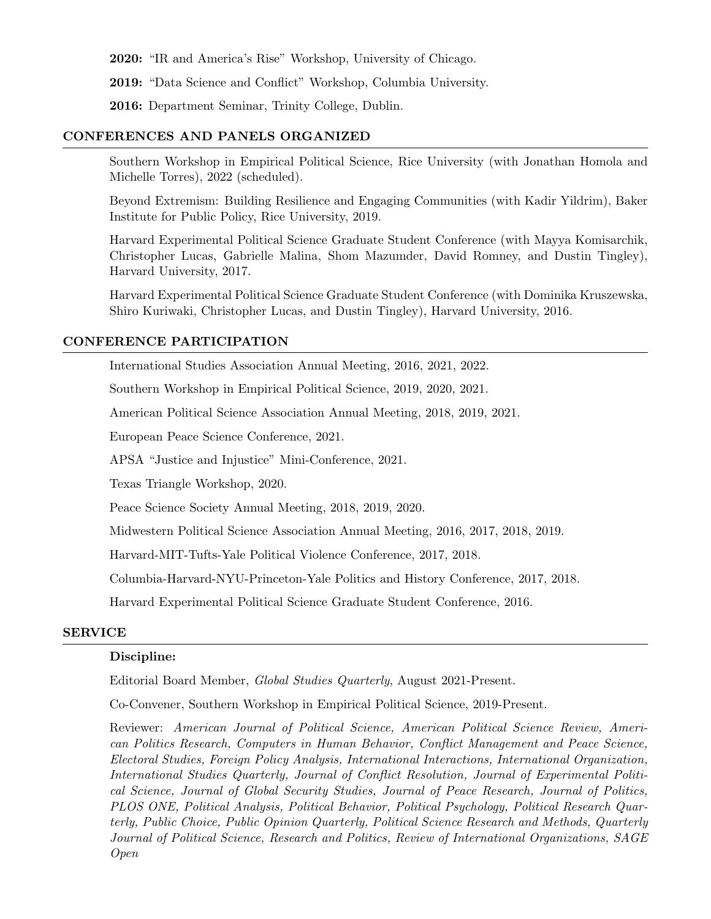2020: "IR and America's Rise" Workshop, University of Chicago.

2019: "Data Science and Conflict" Workshop, Columbia University.

2016: Department Seminar, Trinity College, Dublin.

## CONFERENCES AND PANELS ORGANIZED

Southern Workshop in Empirical Political Science, Rice University (with Jonathan Homola and Michelle Torres), 2022 (scheduled).

Beyond Extremism: Building Resilience and Engaging Communities (with Kadir Yildrim), Baker Institute for Public Policy, Rice University, 2019.

Harvard Experimental Political Science Graduate Student Conference (with Mayya Komisarchik, Christopher Lucas, Gabrielle Malina, Shom Mazumder, David Romney, and Dustin Tingley), Harvard University, 2017.

Harvard Experimental Political Science Graduate Student Conference (with Dominika Kruszewska, Shiro Kuriwaki, Christopher Lucas, and Dustin Tingley), Harvard University, 2016.

## CONFERENCE PARTICIPATION

International Studies Association Annual Meeting, 2016, 2021, 2022.

Southern Workshop in Empirical Political Science, 2019, 2020, 2021.

American Political Science Association Annual Meeting, 2018, 2019, 2021.

European Peace Science Conference, 2021.

APSA "Justice and Injustice" Mini-Conference, 2021.

Texas Triangle Workshop, 2020.

Peace Science Society Annual Meeting, 2018, 2019, 2020.

Midwestern Political Science Association Annual Meeting, 2016, 2017, 2018, 2019.

Harvard-MIT-Tufts-Yale Political Violence Conference, 2017, 2018.

Columbia-Harvard-NYU-Princeton-Yale Politics and History Conference, 2017, 2018.

Harvard Experimental Political Science Graduate Student Conference, 2016.

#### SERVICE

## Discipline:

Editorial Board Member, Global Studies Quarterly, August 2021-Present.

Co-Convener, Southern Workshop in Empirical Political Science, 2019-Present.

Reviewer: American Journal of Political Science, American Political Science Review, American Politics Research, Computers in Human Behavior, Conflict Management and Peace Science, Electoral Studies, Foreign Policy Analysis, International Interactions, International Organization, International Studies Quarterly, Journal of Conflict Resolution, Journal of Experimental Political Science, Journal of Global Security Studies, Journal of Peace Research, Journal of Politics, PLOS ONE, Political Analysis, Political Behavior, Political Psychology, Political Research Quarterly, Public Choice, Public Opinion Quarterly, Political Science Research and Methods, Quarterly Journal of Political Science, Research and Politics, Review of International Organizations, SAGE Open